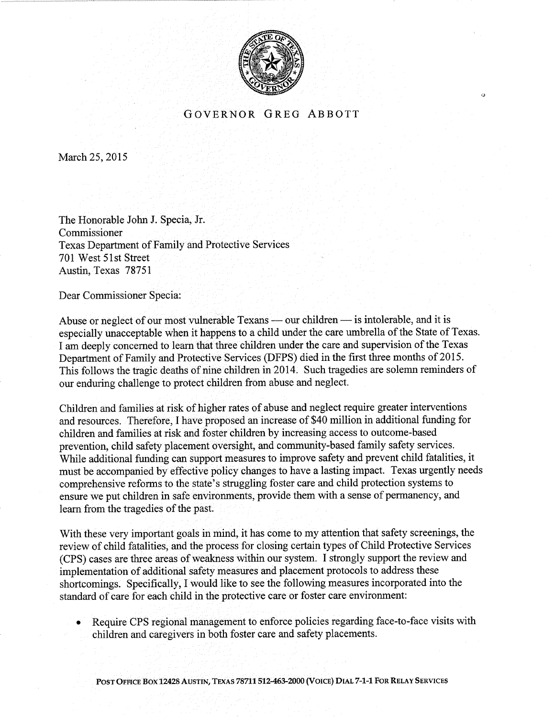

## GOVERNOR GREG ABBOTT

(f

March 25, 2015

The Honorable John J. Specia, Jr. Commissioner Texas Department of Family and Protective Services 701 West 51st Street Austin, Texas 78751

Dear Commissioner Specia:

Abuse or neglect of our most vulnerable Texans — our children — is intolerable, and it is Abuse or neglect of our most vulnerable Texalls — our children — is intolerable, and it is<br>especially unacceptable when it happens to a child under the care umbrella of the State of Texas. I am deeply concerned to learn that three children under the care and supervision of the Texas Department of Family and Protective Services (DFPS) died in the first three months of 2015. This follows the tragic deaths of nine children in20l4. Such tragedies are solemn reminders of our enduring challenge to protect children from abuse and neglect.

Children and families at risk of higher rates of abuse and neglect require greater interventions and resources. Therefore, I have proposed an increase of \$40 million in additional funding for children and families at risk and foster children by increasing access to outcome-based prevention, child safety placement oversight, and community-based family safety services. While additional funding can support measures to improve safety and prevent child fatalities, it must be accompanied by effective policy changes to have a lasting impact. Texas urgently needs comprehensive reforms to the state's struggling foster care and child protection systems to ensure we put children in safe environments, provide them with a sense of permanency, and learn from the tragedies of the past.

With these very important goals in mind, it has come to my attention that safety screenings, the review of child fatalities, and the process for closing certain types of Child Protective Services (CPS) cases are three areas of weakness within our system. I strongly support the review and implementation of additional safety measures and placement protocols to address these shortcomings. Specifically,I would like to see the following measures incorporated into the standard of care for each child in the protective care or foster care environment:

Require CPS regional management to enforce policies regarding face-to-face visits with children and caregivers in both foster care and safety placements. a